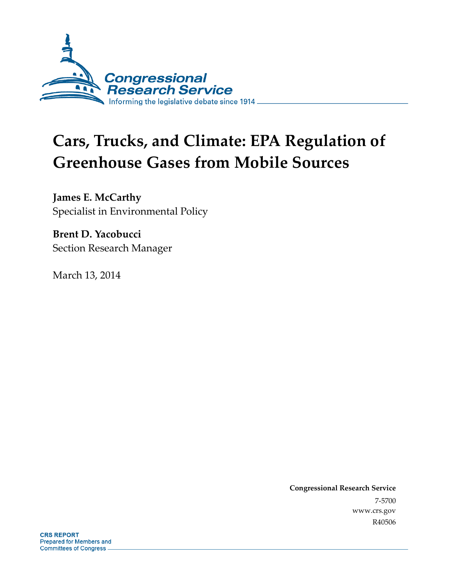

# **Cars, Trucks, and Climate: EPA Regulation of Greenhouse Gases from Mobile Sources**

**James E. McCarthy**  Specialist in Environmental Policy

**Brent D. Yacobucci**  Section Research Manager

March 13, 2014

**Congressional Research Service**  7-5700 www.crs.gov R40506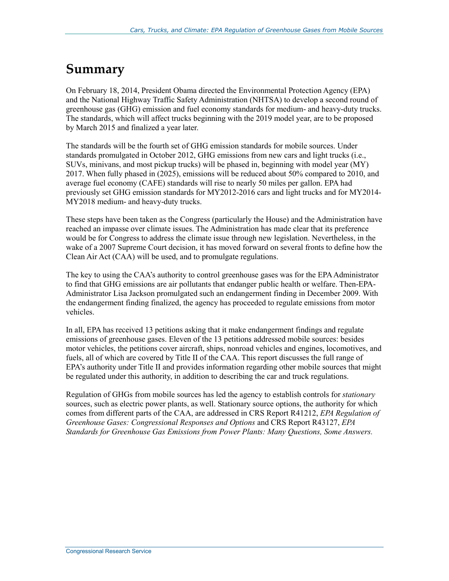### **Summary**

On February 18, 2014, President Obama directed the Environmental Protection Agency (EPA) and the National Highway Traffic Safety Administration (NHTSA) to develop a second round of greenhouse gas (GHG) emission and fuel economy standards for medium- and heavy-duty trucks. The standards, which will affect trucks beginning with the 2019 model year, are to be proposed by March 2015 and finalized a year later.

The standards will be the fourth set of GHG emission standards for mobile sources. Under standards promulgated in October 2012, GHG emissions from new cars and light trucks (i.e., SUVs, minivans, and most pickup trucks) will be phased in, beginning with model year (MY) 2017. When fully phased in (2025), emissions will be reduced about 50% compared to 2010, and average fuel economy (CAFE) standards will rise to nearly 50 miles per gallon. EPA had previously set GHG emission standards for MY2012-2016 cars and light trucks and for MY2014- MY2018 medium- and heavy-duty trucks.

These steps have been taken as the Congress (particularly the House) and the Administration have reached an impasse over climate issues. The Administration has made clear that its preference would be for Congress to address the climate issue through new legislation. Nevertheless, in the wake of a 2007 Supreme Court decision, it has moved forward on several fronts to define how the Clean Air Act (CAA) will be used, and to promulgate regulations.

The key to using the CAA's authority to control greenhouse gases was for the EPA Administrator to find that GHG emissions are air pollutants that endanger public health or welfare. Then-EPA-Administrator Lisa Jackson promulgated such an endangerment finding in December 2009. With the endangerment finding finalized, the agency has proceeded to regulate emissions from motor vehicles.

In all, EPA has received 13 petitions asking that it make endangerment findings and regulate emissions of greenhouse gases. Eleven of the 13 petitions addressed mobile sources: besides motor vehicles, the petitions cover aircraft, ships, nonroad vehicles and engines, locomotives, and fuels, all of which are covered by Title II of the CAA. This report discusses the full range of EPA's authority under Title II and provides information regarding other mobile sources that might be regulated under this authority, in addition to describing the car and truck regulations.

Regulation of GHGs from mobile sources has led the agency to establish controls for *stationary* sources, such as electric power plants, as well. Stationary source options, the authority for which comes from different parts of the CAA, are addressed in CRS Report R41212, *EPA Regulation of Greenhouse Gases: Congressional Responses and Options* and CRS Report R43127, *EPA Standards for Greenhouse Gas Emissions from Power Plants: Many Questions, Some Answers.*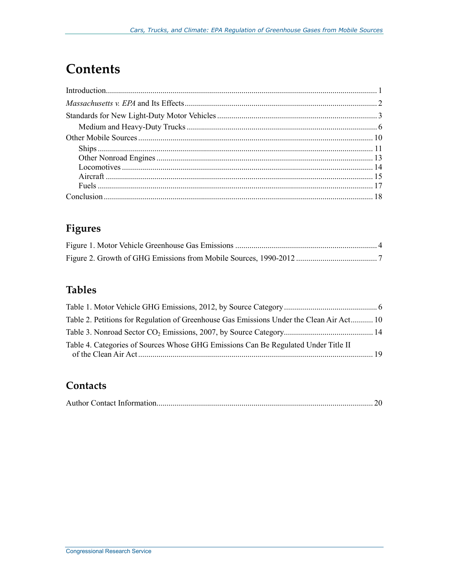## **Contents**

### **Figures**

### **Tables**

| Table 2. Petitions for Regulation of Greenhouse Gas Emissions Under the Clean Air Act 10 |  |
|------------------------------------------------------------------------------------------|--|
|                                                                                          |  |
| Table 4. Categories of Sources Whose GHG Emissions Can Be Regulated Under Title II       |  |

### Contacts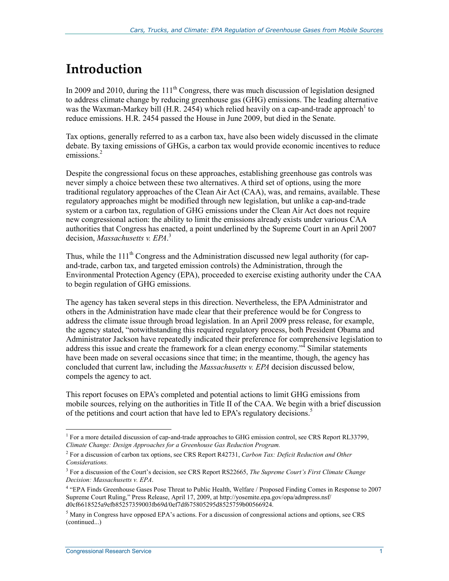## **Introduction**

In 2009 and 2010, during the  $11<sup>th</sup>$  Congress, there was much discussion of legislation designed to address climate change by reducing greenhouse gas (GHG) emissions. The leading alternative was the Waxman-Markey bill (H.R. 2454) which relied heavily on a cap-and-trade approach to reduce emissions. H.R. 2454 passed the House in June 2009, but died in the Senate.

Tax options, generally referred to as a carbon tax, have also been widely discussed in the climate debate. By taxing emissions of GHGs, a carbon tax would provide economic incentives to reduce emissions.<sup>2</sup>

Despite the congressional focus on these approaches, establishing greenhouse gas controls was never simply a choice between these two alternatives. A third set of options, using the more traditional regulatory approaches of the Clean Air Act (CAA), was, and remains, available. These regulatory approaches might be modified through new legislation, but unlike a cap-and-trade system or a carbon tax, regulation of GHG emissions under the Clean Air Act does not require new congressional action: the ability to limit the emissions already exists under various CAA authorities that Congress has enacted, a point underlined by the Supreme Court in an April 2007 decision, *Massachusetts v. EPA*. 3

Thus, while the  $111<sup>th</sup>$  Congress and the Administration discussed new legal authority (for capand-trade, carbon tax, and targeted emission controls) the Administration, through the Environmental Protection Agency (EPA), proceeded to exercise existing authority under the CAA to begin regulation of GHG emissions.

The agency has taken several steps in this direction. Nevertheless, the EPA Administrator and others in the Administration have made clear that their preference would be for Congress to address the climate issue through broad legislation. In an April 2009 press release, for example, the agency stated, "notwithstanding this required regulatory process, both President Obama and Administrator Jackson have repeatedly indicated their preference for comprehensive legislation to address this issue and create the framework for a clean energy economy."<sup>4</sup> Similar statements have been made on several occasions since that time; in the meantime, though, the agency has concluded that current law, including the *Massachusetts v. EPA* decision discussed below, compels the agency to act.

This report focuses on EPA's completed and potential actions to limit GHG emissions from mobile sources, relying on the authorities in Title II of the CAA. We begin with a brief discussion of the petitions and court action that have led to EPA's regulatory decisions.<sup>5</sup>

The more detailed discussion of cap-and-trade approaches to GHG emission control, see CRS Report RL33799, *Climate Change: Design Approaches for a Greenhouse Gas Reduction Program.*

<sup>2</sup> For a discussion of carbon tax options, see CRS Report R42731, *Carbon Tax: Deficit Reduction and Other Considerations.*

<sup>3</sup> For a discussion of the Court's decision, see CRS Report RS22665, *The Supreme Court's First Climate Change Decision: Massachusetts v. EPA*.

<sup>4</sup> "EPA Finds Greenhouse Gases Pose Threat to Public Health, Welfare / Proposed Finding Comes in Response to 2007 Supreme Court Ruling," Press Release, April 17, 2009, at http://yosemite.epa.gov/opa/admpress.nsf/ d0cf6618525a9efb85257359003fb69d/0ef7df675805295d8525759b00566924.

 $<sup>5</sup>$  Many in Congress have opposed EPA's actions. For a discussion of congressional actions and options, see CRS</sup> (continued...)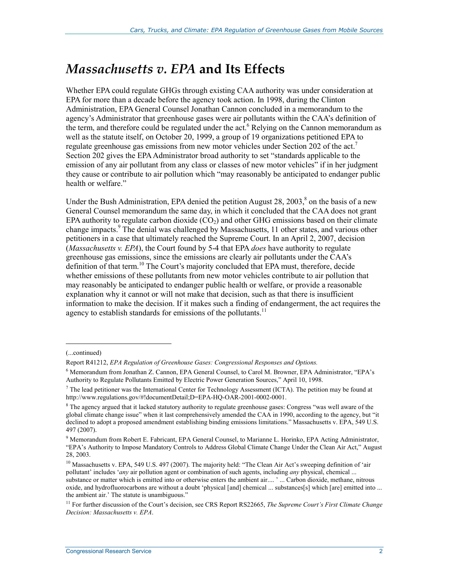## *Massachusetts v. EPA* **and Its Effects**

Whether EPA could regulate GHGs through existing CAA authority was under consideration at EPA for more than a decade before the agency took action. In 1998, during the Clinton Administration, EPA General Counsel Jonathan Cannon concluded in a memorandum to the agency's Administrator that greenhouse gases were air pollutants within the CAA's definition of the term, and therefore could be regulated under the act.<sup>6</sup> Relying on the Cannon memorandum as well as the statute itself, on October 20, 1999, a group of 19 organizations petitioned EPA to regulate greenhouse gas emissions from new motor vehicles under Section 202 of the act.<sup>7</sup> Section 202 gives the EPA Administrator broad authority to set "standards applicable to the emission of any air pollutant from any class or classes of new motor vehicles" if in her judgment they cause or contribute to air pollution which "may reasonably be anticipated to endanger public health or welfare."

Under the Bush Administration, EPA denied the petition August 28, 2003, $\text{\textdegree}$  on the basis of a new General Counsel memorandum the same day, in which it concluded that the CAA does not grant EPA authority to regulate carbon dioxide  $(CO<sub>2</sub>)$  and other GHG emissions based on their climate change impacts.<sup>9</sup> The denial was challenged by Massachusetts, 11 other states, and various other petitioners in a case that ultimately reached the Supreme Court. In an April 2, 2007, decision (*Massachusetts v. EPA*), the Court found by 5-4 that EPA *does* have authority to regulate greenhouse gas emissions, since the emissions are clearly air pollutants under the CAA's definition of that term.<sup>10</sup> The Court's majority concluded that EPA must, therefore, decide whether emissions of these pollutants from new motor vehicles contribute to air pollution that may reasonably be anticipated to endanger public health or welfare, or provide a reasonable explanation why it cannot or will not make that decision, such as that there is insufficient information to make the decision. If it makes such a finding of endangerment, the act requires the agency to establish standards for emissions of the pollutants.<sup>11</sup>

<sup>(...</sup>continued)

Report R41212, *EPA Regulation of Greenhouse Gases: Congressional Responses and Options.*

<sup>&</sup>lt;sup>6</sup> Memorandum from Jonathan Z. Cannon, EPA General Counsel, to Carol M. Browner, EPA Administrator, "EPA's Authority to Regulate Pollutants Emitted by Electric Power Generation Sources," April 10, 1998.

 $<sup>7</sup>$  The lead petitioner was the International Center for Technology Assessment (ICTA). The petition may be found at</sup> http://www.regulations.gov/#!documentDetail;D=EPA-HQ-OAR-2001-0002-0001.

<sup>&</sup>lt;sup>8</sup> The agency argued that it lacked statutory authority to regulate greenhouse gases: Congress "was well aware of the global climate change issue" when it last comprehensively amended the CAA in 1990, according to the agency, but "it declined to adopt a proposed amendment establishing binding emissions limitations." Massachusetts v. EPA, 549 U.S. 497 (2007).

<sup>&</sup>lt;sup>9</sup> Memorandum from Robert E. Fabricant, EPA General Counsel, to Marianne L. Horinko, EPA Acting Administrator, "EPA's Authority to Impose Mandatory Controls to Address Global Climate Change Under the Clean Air Act," August 28, 2003.

<sup>&</sup>lt;sup>10</sup> Massachusetts v. EPA, 549 U.S. 497 (2007). The majority held: "The Clean Air Act's sweeping definition of 'air pollutant' includes '*any* air pollution agent or combination of such agents, including *any* physical, chemical ... substance or matter which is emitted into or otherwise enters the ambient air.... ' ... Carbon dioxide, methane, nitrous oxide, and hydrofluorocarbons are without a doubt 'physical [and] chemical ... substances[s] which [are] emitted into ... the ambient air.' The statute is unambiguous."

<sup>11</sup> For further discussion of the Court's decision, see CRS Report RS22665, *The Supreme Court's First Climate Change Decision: Massachusetts v. EPA*.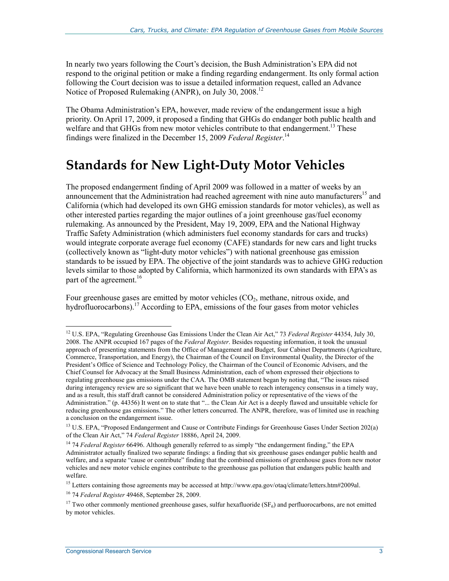In nearly two years following the Court's decision, the Bush Administration's EPA did not respond to the original petition or make a finding regarding endangerment. Its only formal action following the Court decision was to issue a detailed information request, called an Advance Notice of Proposed Rulemaking (ANPR), on July 30, 2008.<sup>12</sup>

The Obama Administration's EPA, however, made review of the endangerment issue a high priority. On April 17, 2009, it proposed a finding that GHGs do endanger both public health and welfare and that GHGs from new motor vehicles contribute to that endangerment.<sup>13</sup> These findings were finalized in the December 15, 2009 *Federal Register*. 14

## **Standards for New Light-Duty Motor Vehicles**

The proposed endangerment finding of April 2009 was followed in a matter of weeks by an announcement that the Administration had reached agreement with nine auto manufacturers<sup>15</sup> and California (which had developed its own GHG emission standards for motor vehicles), as well as other interested parties regarding the major outlines of a joint greenhouse gas/fuel economy rulemaking. As announced by the President, May 19, 2009, EPA and the National Highway Traffic Safety Administration (which administers fuel economy standards for cars and trucks) would integrate corporate average fuel economy (CAFE) standards for new cars and light trucks (collectively known as "light-duty motor vehicles") with national greenhouse gas emission standards to be issued by EPA. The objective of the joint standards was to achieve GHG reduction levels similar to those adopted by California, which harmonized its own standards with EPA's as part of the agreement.<sup>16</sup>

Four greenhouse gases are emitted by motor vehicles  $(CO<sub>2</sub>)$ , methane, nitrous oxide, and hydrofluorocarbons).<sup>17</sup> According to EPA, emissions of the four gases from motor vehicles

<sup>12</sup> U.S. EPA, "Regulating Greenhouse Gas Emissions Under the Clean Air Act," 73 *Federal Register* 44354, July 30, 2008. The ANPR occupied 167 pages of the *Federal Register*. Besides requesting information, it took the unusual approach of presenting statements from the Office of Management and Budget, four Cabinet Departments (Agriculture, Commerce, Transportation, and Energy), the Chairman of the Council on Environmental Quality, the Director of the President's Office of Science and Technology Policy, the Chairman of the Council of Economic Advisers, and the Chief Counsel for Advocacy at the Small Business Administration, each of whom expressed their objections to regulating greenhouse gas emissions under the CAA. The OMB statement began by noting that, "The issues raised during interagency review are so significant that we have been unable to reach interagency consensus in a timely way, and as a result, this staff draft cannot be considered Administration policy or representative of the views of the Administration." (p. 44356) It went on to state that "... the Clean Air Act is a deeply flawed and unsuitable vehicle for reducing greenhouse gas emissions." The other letters concurred. The ANPR, therefore, was of limited use in reaching a conclusion on the endangerment issue.

<sup>&</sup>lt;sup>13</sup> U.S. EPA, "Proposed Endangerment and Cause or Contribute Findings for Greenhouse Gases Under Section 202(a) of the Clean Air Act," 74 *Federal Register* 18886, April 24, 2009.

<sup>&</sup>lt;sup>14</sup> 74 *Federal Register* 66496. Although generally referred to as simply "the endangerment finding," the EPA Administrator actually finalized two separate findings: a finding that six greenhouse gases endanger public health and welfare, and a separate "cause or contribute" finding that the combined emissions of greenhouse gases from new motor vehicles and new motor vehicle engines contribute to the greenhouse gas pollution that endangers public health and welfare.

<sup>&</sup>lt;sup>15</sup> Letters containing those agreements may be accessed at http://www.epa.gov/otaq/climate/letters.htm#2009al.

<sup>16 74</sup> *Federal Register* 49468, September 28, 2009.

<sup>&</sup>lt;sup>17</sup> Two other commonly mentioned greenhouse gases, sulfur hexafluoride (SF<sub>6</sub>) and perfluorocarbons, are not emitted by motor vehicles.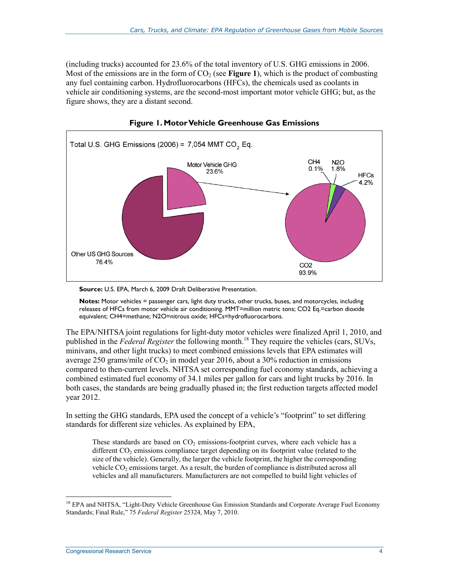(including trucks) accounted for 23.6% of the total inventory of U.S. GHG emissions in 2006. Most of the emissions are in the form of  $CO<sub>2</sub>$  (see **Figure 1**), which is the product of combusting any fuel containing carbon. Hydrofluorocarbons (HFCs), the chemicals used as coolants in vehicle air conditioning systems, are the second-most important motor vehicle GHG; but, as the figure shows, they are a distant second.





**Notes:** Motor vehicles = passenger cars, light duty trucks, other trucks, buses, and motorcycles, including releases of HFCs from motor vehicle air conditioning. MMT=million metric tons; CO2 Eq.=carbon dioxide equivalent; CH4=methane; N2O=nitrous oxide; HFCs=hydrofluorocarbons.

The EPA/NHTSA joint regulations for light-duty motor vehicles were finalized April 1, 2010, and published in the *Federal Register* the following month.<sup>18</sup> They require the vehicles (cars, SUVs, minivans, and other light trucks) to meet combined emissions levels that EPA estimates will average 250 grams/mile of  $CO<sub>2</sub>$  in model year 2016, about a 30% reduction in emissions compared to then-current levels. NHTSA set corresponding fuel economy standards, achieving a combined estimated fuel economy of 34.1 miles per gallon for cars and light trucks by 2016. In both cases, the standards are being gradually phased in; the first reduction targets affected model year 2012.

In setting the GHG standards, EPA used the concept of a vehicle's "footprint" to set differing standards for different size vehicles. As explained by EPA,

These standards are based on  $CO<sub>2</sub>$  emissions-footprint curves, where each vehicle has a different  $CO<sub>2</sub>$  emissions compliance target depending on its footprint value (related to the size of the vehicle). Generally, the larger the vehicle footprint, the higher the corresponding vehicle  $CO<sub>2</sub>$  emissions target. As a result, the burden of compliance is distributed across all vehicles and all manufacturers. Manufacturers are not compelled to build light vehicles of

**Source:** U.S. EPA, March 6, 2009 Draft Deliberative Presentation.

<sup>&</sup>lt;sup>18</sup> EPA and NHTSA, "Light-Duty Vehicle Greenhouse Gas Emission Standards and Corporate Average Fuel Economy Standards; Final Rule," 75 *Federal Register* 25324, May 7, 2010.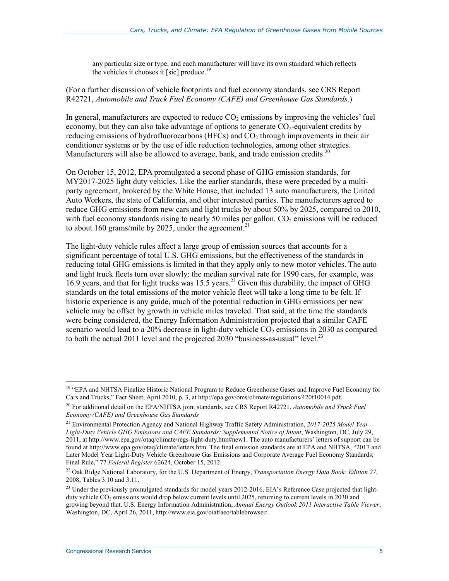any particular size or type, and each manufacturer will have its own standard which reflects the vehicles it chooses it [sic] produce.<sup>19</sup>

#### (For a further discussion of vehicle footprints and fuel economy standards, see CRS Report R42721, *Automobile and Truck Fuel Economy (CAFE) and Greenhouse Gas Standards*.)

In general, manufacturers are expected to reduce  $CO<sub>2</sub>$  emissions by improving the vehicles' fuel economy, but they can also take advantage of options to generate  $CO_2$ -equivalent credits by reducing emissions of hydrofluorocarbons (HFCs) and  $CO<sub>2</sub>$  through improvements in their air conditioner systems or by the use of idle reduction technologies, among other strategies. Manufacturers will also be allowed to average, bank, and trade emission credits.<sup>20</sup>

On October 15, 2012, EPA promulgated a second phase of GHG emission standards, for MY2017-2025 light duty vehicles. Like the earlier standards, these were preceded by a multiparty agreement, brokered by the White House, that included 13 auto manufacturers, the United Auto Workers, the state of California, and other interested parties. The manufacturers agreed to reduce GHG emissions from new cars and light trucks by about 50% by 2025, compared to 2010, with fuel economy standards rising to nearly 50 miles per gallon.  $CO<sub>2</sub>$  emissions will be reduced to about 160 grams/mile by 2025, under the agreement.<sup>21</sup>

The light-duty vehicle rules affect a large group of emission sources that accounts for a significant percentage of total U.S. GHG emissions, but the effectiveness of the standards in reducing total GHG emissions is limited in that they apply only to new motor vehicles. The auto and light truck fleets turn over slowly: the median survival rate for 1990 cars, for example, was 16.9 years, and that for light trucks was 15.5 years.<sup>22</sup> Given this durability, the impact of GHG standards on the total emissions of the motor vehicle fleet will take a long time to be felt. If historic experience is any guide, much of the potential reduction in GHG emissions per new vehicle may be offset by growth in vehicle miles traveled. That said, at the time the standards were being considered, the Energy Information Administration projected that a similar CAFE scenario would lead to a  $20\%$  decrease in light-duty vehicle  $CO<sub>2</sub>$  emissions in 2030 as compared to both the actual 2011 level and the projected 2030 "business-as-usual" level.<sup>23</sup>

<u>.</u>

<sup>&</sup>lt;sup>19</sup> "EPA and NHTSA Finalize Historic National Program to Reduce Greenhouse Gases and Improve Fuel Economy for Cars and Trucks," Fact Sheet, April 2010, p. 3, at http://epa.gov/oms/climate/regulations/420f10014.pdf.

<sup>20</sup> For additional detail on the EPA/NHTSA joint standards, see CRS Report R42721, *Automobile and Truck Fuel Economy (CAFE) and Greenhouse Gas Standards*

<sup>21</sup> Environmental Protection Agency and National Highway Traffic Safety Administration, *2017-2025 Model Year Light-Duty Vehicle GHG Emissions and CAFE Standards: Supplemental Notice of Intent*, Washington, DC, July 29, 2011, at http://www.epa.gov/otaq/climate/regs-light-duty.htm#new1. The auto manufacturers' letters of support can be found at http://www.epa.gov/otaq/climate/letters.htm. The final emission standards are at EPA and NHTSA, "2017 and Later Model Year Light-Duty Vehicle Greenhouse Gas Emissions and Corporate Average Fuel Economy Standards; Final Rule," 77 *Federal Register* 62624, October 15, 2012.

<sup>22</sup> Oak Ridge National Laboratory, for the U.S. Department of Energy, *Transportation Energy Data Book: Edition 27*, 2008, Tables 3.10 and 3.11.

<sup>&</sup>lt;sup>23</sup> Under the previously promulgated standards for model years 2012-2016, EIA's Reference Case projected that lightduty vehicle CO<sub>2</sub> emissions would drop below current levels until 2025, returning to current levels in 2030 and growing beyond that. U.S. Energy Information Administration, *Annual Energy Outlook 2011 Interactive Table Viewer*, Washington, DC, April 26, 2011, http://www.eia.gov/oiaf/aeo/tablebrowser/.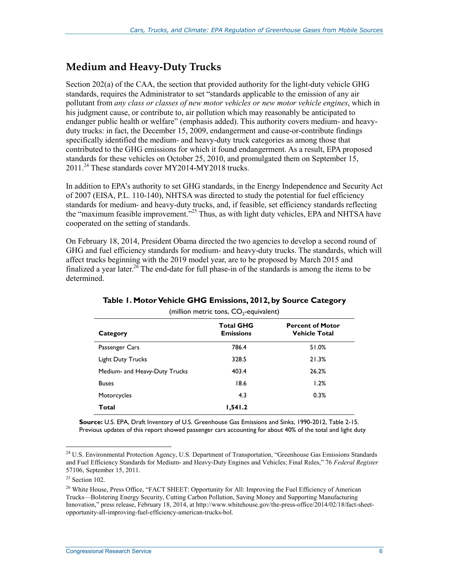### **Medium and Heavy-Duty Trucks**

Section 202(a) of the CAA, the section that provided authority for the light-duty vehicle GHG standards, requires the Administrator to set "standards applicable to the emission of any air pollutant from *any class or classes of new motor vehicles or new motor vehicle engines*, which in his judgment cause, or contribute to, air pollution which may reasonably be anticipated to endanger public health or welfare" (emphasis added). This authority covers medium- and heavyduty trucks: in fact, the December 15, 2009, endangerment and cause-or-contribute findings specifically identified the medium- and heavy-duty truck categories as among those that contributed to the GHG emissions for which it found endangerment. As a result, EPA proposed standards for these vehicles on October 25, 2010, and promulgated them on September 15, 2011.<sup>24</sup> These standards cover MY2014-MY2018 trucks.

In addition to EPA's authority to set GHG standards, in the Energy Independence and Security Act of 2007 (EISA, P.L. 110-140), NHTSA was directed to study the potential for fuel efficiency standards for medium- and heavy-duty trucks, and, if feasible, set efficiency standards reflecting the "maximum feasible improvement."<sup>25</sup> Thus, as with light duty vehicles, EPA and NHTSA have cooperated on the setting of standards.

On February 18, 2014, President Obama directed the two agencies to develop a second round of GHG and fuel efficiency standards for medium- and heavy-duty trucks. The standards, which will affect trucks beginning with the 2019 model year, are to be proposed by March 2015 and finalized a year later.<sup>26</sup> The end-date for full phase-in of the standards is among the items to be determined.

| (million metric tons, $CO2$ -equivalent) |                                      |                                                 |  |
|------------------------------------------|--------------------------------------|-------------------------------------------------|--|
| Category                                 | <b>Total GHG</b><br><b>Emissions</b> | <b>Percent of Motor</b><br><b>Vehicle Total</b> |  |
| Passenger Cars                           | 786.4                                | 51.0%                                           |  |
| <b>Light Duty Trucks</b>                 | 328.5                                | 21.3%                                           |  |
| Medium- and Heavy-Duty Trucks            | 403.4                                | 26.2%                                           |  |
| <b>Buses</b>                             | 18.6                                 | 1.2%                                            |  |
| Motorcycles                              | 4.3                                  | 0.3%                                            |  |
| Total                                    | 1,541.2                              |                                                 |  |

#### **Table 1. Motor Vehicle GHG Emissions, 2012, by Source Category**

**Source:** U.S. EPA, Draft Inventory of U.S. Greenhouse Gas Emissions and Sinks, 1990-2012, Table 2-15. Previous updates of this report showed passenger cars accounting for about 40% of the total and light duty

<sup>&</sup>lt;sup>24</sup> U.S. Environmental Protection Agency, U.S. Department of Transportation, "Greenhouse Gas Emissions Standards and Fuel Efficiency Standards for Medium- and Heavy-Duty Engines and Vehicles; Final Rules," 76 *Federal Register* 57106, September 15, 2011.

 $25$  Section 102.

<sup>&</sup>lt;sup>26</sup> White House, Press Office, "FACT SHEET: Opportunity for All: Improving the Fuel Efficiency of American Trucks—Bolstering Energy Security, Cutting Carbon Pollution, Saving Money and Supporting Manufacturing Innovation," press release, February 18, 2014, at http://www.whitehouse.gov/the-press-office/2014/02/18/fact-sheetopportunity-all-improving-fuel-efficiency-american-trucks-bol.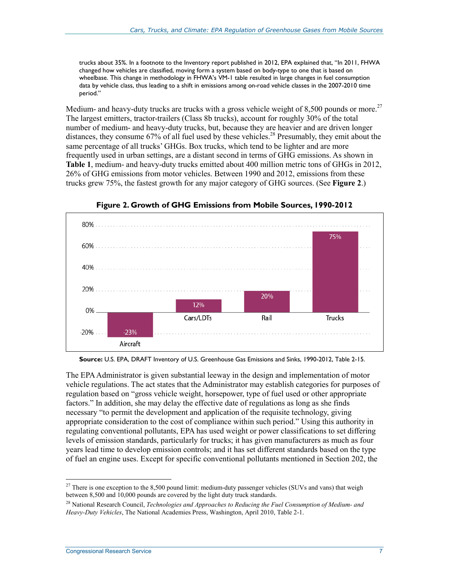trucks about 35%. In a footnote to the Inventory report published in 2012, EPA explained that, "In 2011, FHWA changed how vehicles are classified, moving form a system based on body-type to one that is based on wheelbase. This change in methodology in FHWA's VM-1 table resulted in large changes in fuel consumption data by vehicle class, thus leading to a shift in emissions among on-road vehicle classes in the 2007-2010 time period."

Medium- and heavy-duty trucks are trucks with a gross vehicle weight of 8,500 pounds or more.<sup>27</sup> The largest emitters, tractor-trailers (Class 8b trucks), account for roughly 30% of the total number of medium- and heavy-duty trucks, but, because they are heavier and are driven longer distances, they consume 67% of all fuel used by these vehicles.<sup>28</sup> Presumably, they emit about the same percentage of all trucks' GHGs. Box trucks, which tend to be lighter and are more frequently used in urban settings, are a distant second in terms of GHG emissions. As shown in **Table 1**, medium- and heavy-duty trucks emitted about 400 million metric tons of GHGs in 2012, 26% of GHG emissions from motor vehicles. Between 1990 and 2012, emissions from these trucks grew 75%, the fastest growth for any major category of GHG sources. (See **Figure 2**.)



**Figure 2. Growth of GHG Emissions from Mobile Sources, 1990-2012** 

**Source:** U.S. EPA, DRAFT Inventory of U.S. Greenhouse Gas Emissions and Sinks, 1990-2012, Table 2-15.

The EPA Administrator is given substantial leeway in the design and implementation of motor vehicle regulations. The act states that the Administrator may establish categories for purposes of regulation based on "gross vehicle weight, horsepower, type of fuel used or other appropriate factors." In addition, she may delay the effective date of regulations as long as she finds necessary "to permit the development and application of the requisite technology, giving appropriate consideration to the cost of compliance within such period." Using this authority in regulating conventional pollutants, EPA has used weight or power classifications to set differing levels of emission standards, particularly for trucks; it has given manufacturers as much as four years lead time to develop emission controls; and it has set different standards based on the type of fuel an engine uses. Except for specific conventional pollutants mentioned in Section 202, the

<sup>1</sup> <sup>27</sup> There is one exception to the 8,500 pound limit: medium-duty passenger vehicles (SUVs and vans) that weigh between 8,500 and 10,000 pounds are covered by the light duty truck standards.

<sup>28</sup> National Research Council, *Technologies and Approaches to Reducing the Fuel Consumption of Medium- and Heavy-Duty Vehicles*, The National Academies Press, Washington, April 2010, Table 2-1.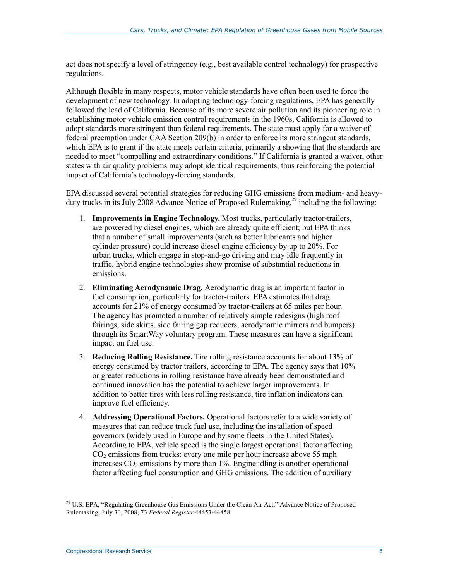act does not specify a level of stringency (e.g., best available control technology) for prospective regulations.

Although flexible in many respects, motor vehicle standards have often been used to force the development of new technology. In adopting technology-forcing regulations, EPA has generally followed the lead of California. Because of its more severe air pollution and its pioneering role in establishing motor vehicle emission control requirements in the 1960s, California is allowed to adopt standards more stringent than federal requirements. The state must apply for a waiver of federal preemption under CAA Section 209(b) in order to enforce its more stringent standards, which EPA is to grant if the state meets certain criteria, primarily a showing that the standards are needed to meet "compelling and extraordinary conditions." If California is granted a waiver, other states with air quality problems may adopt identical requirements, thus reinforcing the potential impact of California's technology-forcing standards.

EPA discussed several potential strategies for reducing GHG emissions from medium- and heavyduty trucks in its July 2008 Advance Notice of Proposed Rulemaking,<sup>29</sup> including the following:

- 1. **Improvements in Engine Technology.** Most trucks, particularly tractor-trailers, are powered by diesel engines, which are already quite efficient; but EPA thinks that a number of small improvements (such as better lubricants and higher cylinder pressure) could increase diesel engine efficiency by up to 20%. For urban trucks, which engage in stop-and-go driving and may idle frequently in traffic, hybrid engine technologies show promise of substantial reductions in emissions.
- 2. **Eliminating Aerodynamic Drag.** Aerodynamic drag is an important factor in fuel consumption, particularly for tractor-trailers. EPA estimates that drag accounts for 21% of energy consumed by tractor-trailers at 65 miles per hour. The agency has promoted a number of relatively simple redesigns (high roof fairings, side skirts, side fairing gap reducers, aerodynamic mirrors and bumpers) through its SmartWay voluntary program. These measures can have a significant impact on fuel use.
- 3. **Reducing Rolling Resistance.** Tire rolling resistance accounts for about 13% of energy consumed by tractor trailers, according to EPA. The agency says that 10% or greater reductions in rolling resistance have already been demonstrated and continued innovation has the potential to achieve larger improvements. In addition to better tires with less rolling resistance, tire inflation indicators can improve fuel efficiency.
- 4. **Addressing Operational Factors.** Operational factors refer to a wide variety of measures that can reduce truck fuel use, including the installation of speed governors (widely used in Europe and by some fleets in the United States). According to EPA, vehicle speed is the single largest operational factor affecting  $CO<sub>2</sub>$  emissions from trucks: every one mile per hour increase above 55 mph increases  $CO<sub>2</sub>$  emissions by more than 1%. Engine idling is another operational factor affecting fuel consumption and GHG emissions. The addition of auxiliary

 $^{29}$  U.S. EPA, "Regulating Greenhouse Gas Emissions Under the Clean Air Act," Advance Notice of Proposed Rulemaking, July 30, 2008, 73 *Federal Register* 44453-44458.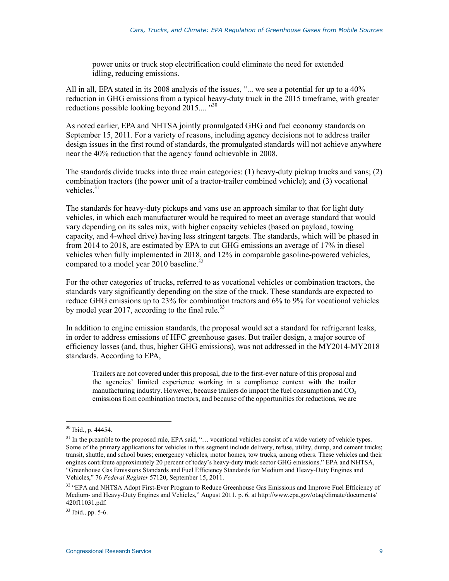power units or truck stop electrification could eliminate the need for extended idling, reducing emissions.

All in all, EPA stated in its 2008 analysis of the issues, "... we see a potential for up to a 40% reduction in GHG emissions from a typical heavy-duty truck in the 2015 timeframe, with greater reductions possible looking beyond  $2015...$ <sup>30</sup>

As noted earlier, EPA and NHTSA jointly promulgated GHG and fuel economy standards on September 15, 2011. For a variety of reasons, including agency decisions not to address trailer design issues in the first round of standards, the promulgated standards will not achieve anywhere near the 40% reduction that the agency found achievable in 2008.

The standards divide trucks into three main categories: (1) heavy-duty pickup trucks and vans; (2) combination tractors (the power unit of a tractor-trailer combined vehicle); and (3) vocational vehicles. $31$ 

The standards for heavy-duty pickups and vans use an approach similar to that for light duty vehicles, in which each manufacturer would be required to meet an average standard that would vary depending on its sales mix, with higher capacity vehicles (based on payload, towing capacity, and 4-wheel drive) having less stringent targets. The standards, which will be phased in from 2014 to 2018, are estimated by EPA to cut GHG emissions an average of 17% in diesel vehicles when fully implemented in 2018, and 12% in comparable gasoline-powered vehicles, compared to a model year 2010 baseline.<sup>32</sup>

For the other categories of trucks, referred to as vocational vehicles or combination tractors, the standards vary significantly depending on the size of the truck. These standards are expected to reduce GHG emissions up to 23% for combination tractors and 6% to 9% for vocational vehicles by model year 2017, according to the final rule.<sup>33</sup>

In addition to engine emission standards, the proposal would set a standard for refrigerant leaks, in order to address emissions of HFC greenhouse gases. But trailer design, a major source of efficiency losses (and, thus, higher GHG emissions), was not addressed in the MY2014-MY2018 standards. According to EPA,

Trailers are not covered under this proposal, due to the first-ever nature of this proposal and the agencies' limited experience working in a compliance context with the trailer manufacturing industry. However, because trailers do impact the fuel consumption and  $CO<sub>2</sub>$ emissions from combination tractors, and because of the opportunities for reductions, we are

<u>.</u>

 $30$  Ibid., p. 44454.

 $31$  In the preamble to the proposed rule, EPA said, "... vocational vehicles consist of a wide variety of vehicle types. Some of the primary applications for vehicles in this segment include delivery, refuse, utility, dump, and cement trucks; transit, shuttle, and school buses; emergency vehicles, motor homes, tow trucks, among others. These vehicles and their engines contribute approximately 20 percent of today's heavy-duty truck sector GHG emissions." EPA and NHTSA, "Greenhouse Gas Emissions Standards and Fuel Efficiency Standards for Medium and Heavy-Duty Engines and Vehicles," 76 *Federal Register* 57120, September 15, 2011.

<sup>&</sup>lt;sup>32</sup> "EPA and NHTSA Adopt First-Ever Program to Reduce Greenhouse Gas Emissions and Improve Fuel Efficiency of Medium- and Heavy-Duty Engines and Vehicles," August 2011, p. 6, at http://www.epa.gov/otaq/climate/documents/ 420f11031.pdf.

<sup>33</sup> Ibid., pp. 5-6.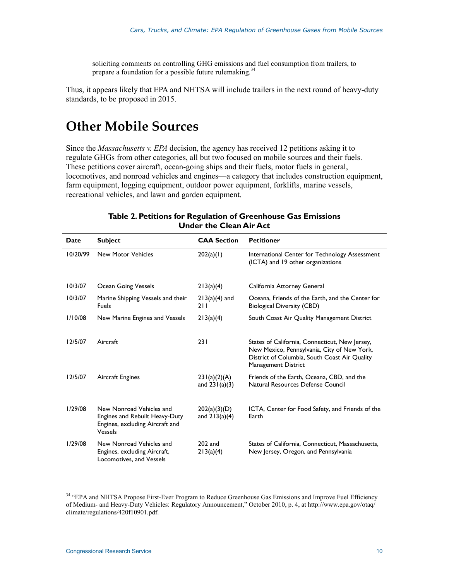soliciting comments on controlling GHG emissions and fuel consumption from trailers, to prepare a foundation for a possible future rulemaking. $34$ 

Thus, it appears likely that EPA and NHTSA will include trailers in the next round of heavy-duty standards, to be proposed in 2015.

### **Other Mobile Sources**

Since the *Massachusetts v. EPA* decision, the agency has received 12 petitions asking it to regulate GHGs from other categories, all but two focused on mobile sources and their fuels. These petitions cover aircraft, ocean-going ships and their fuels, motor fuels in general, locomotives, and nonroad vehicles and engines—a category that includes construction equipment, farm equipment, logging equipment, outdoor power equipment, forklifts, marine vessels, recreational vehicles, and lawn and garden equipment.

| Date     | <b>Subject</b>                                                                                           | <b>CAA Section</b>              | <b>Petitioner</b>                                                                                                                                                            |
|----------|----------------------------------------------------------------------------------------------------------|---------------------------------|------------------------------------------------------------------------------------------------------------------------------------------------------------------------------|
| 10/20/99 | <b>New Motor Vehicles</b>                                                                                | 202(a)(1)                       | International Center for Technology Assessment<br>(ICTA) and 19 other organizations                                                                                          |
| 10/3/07  | Ocean Going Vessels                                                                                      | 213(a)(4)                       | California Attorney General                                                                                                                                                  |
| 10/3/07  | Marine Shipping Vessels and their<br><b>Fuels</b>                                                        | $213(a)(4)$ and<br>211          | Oceana, Friends of the Earth, and the Center for<br><b>Biological Diversity (CBD)</b>                                                                                        |
| 1/10/08  | New Marine Engines and Vessels                                                                           | 213(a)(4)                       | South Coast Air Quality Management District                                                                                                                                  |
| 12/5/07  | Aircraft                                                                                                 | 231                             | States of California, Connecticut, New Jersey,<br>New Mexico, Pennsylvania, City of New York,<br>District of Columbia, South Coast Air Quality<br><b>Management District</b> |
| 12/5/07  | Aircraft Engines                                                                                         | 231(a)(2)(A)<br>and $231(a)(3)$ | Friends of the Earth, Oceana, CBD, and the<br>Natural Resources Defense Council                                                                                              |
| 1/29/08  | New Nonroad Vehicles and<br>Engines and Rebuilt Heavy-Duty<br>Engines, excluding Aircraft and<br>Vessels | 202(a)(3)(D)<br>and $213(a)(4)$ | ICTA, Center for Food Safety, and Friends of the<br>Earth                                                                                                                    |
| 1/29/08  | New Nonroad Vehicles and<br>Engines, excluding Aircraft,<br>Locomotives, and Vessels                     | $202$ and<br>213(a)(4)          | States of California, Connecticut, Massachusetts,<br>New Jersey, Oregon, and Pennsylvania                                                                                    |

#### **Table 2. Petitions for Regulation of Greenhouse Gas Emissions Under the Clean Air Act**

<sup>&</sup>lt;sup>34</sup> "EPA and NHTSA Propose First-Ever Program to Reduce Greenhouse Gas Emissions and Improve Fuel Efficiency of Medium- and Heavy-Duty Vehicles: Regulatory Announcement," October 2010, p. 4, at http://www.epa.gov/otaq/ climate/regulations/420f10901.pdf.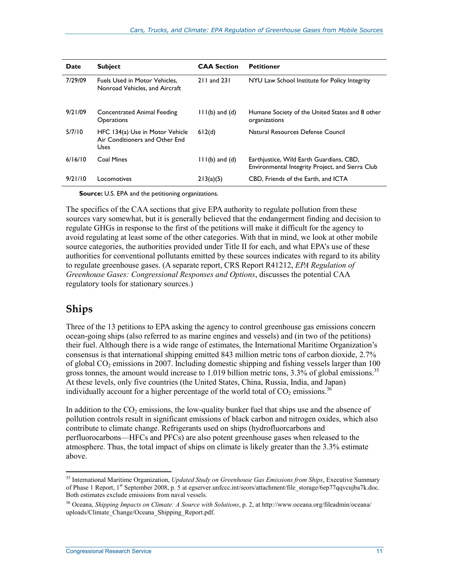| <b>Date</b> | <b>Subject</b>                                                            | <b>CAA Section</b> | <b>Petitioner</b>                                                                            |
|-------------|---------------------------------------------------------------------------|--------------------|----------------------------------------------------------------------------------------------|
| 7/29/09     | Fuels Used in Motor Vehicles,<br>Nonroad Vehicles, and Aircraft           | 211 and 231        | NYU Law School Institute for Policy Integrity                                                |
| 9/21/09     | <b>Concentrated Animal Feeding</b><br><b>Operations</b>                   | $11(6)$ and $(d)$  | Humane Society of the United States and 8 other<br>organizations                             |
| 5/7/10      | HFC 134(a) Use in Motor Vehicle<br>Air Conditioners and Other End<br>Uses | 612(d)             | Natural Resources Defense Council                                                            |
| 6/16/10     | Coal Mines                                                                | $11(6)$ and $(d)$  | Earthjustice, Wild Earth Guardians, CBD,<br>Environmental Integrity Project, and Sierra Club |
| 9/21/10     | Locomotives                                                               | 213(a)(5)          | CBD, Friends of the Earth, and ICTA                                                          |

**Source:** U.S. EPA and the petitioning organizations.

The specifics of the CAA sections that give EPA authority to regulate pollution from these sources vary somewhat, but it is generally believed that the endangerment finding and decision to regulate GHGs in response to the first of the petitions will make it difficult for the agency to avoid regulating at least some of the other categories. With that in mind, we look at other mobile source categories, the authorities provided under Title II for each, and what EPA's use of these authorities for conventional pollutants emitted by these sources indicates with regard to its ability to regulate greenhouse gases. (A separate report, CRS Report R41212, *EPA Regulation of Greenhouse Gases: Congressional Responses and Options*, discusses the potential CAA regulatory tools for stationary sources.)

#### **Ships**

1

Three of the 13 petitions to EPA asking the agency to control greenhouse gas emissions concern ocean-going ships (also referred to as marine engines and vessels) and (in two of the petitions) their fuel. Although there is a wide range of estimates, the International Maritime Organization's consensus is that international shipping emitted 843 million metric tons of carbon dioxide, 2.7% of global  $CO<sub>2</sub>$  emissions in 2007. Including domestic shipping and fishing vessels larger than 100 gross tonnes, the amount would increase to 1.019 billion metric tons,  $3.3\%$  of global emissions.<sup>35</sup> At these levels, only five countries (the United States, China, Russia, India, and Japan) individually account for a higher percentage of the world total of  $CO_2$  emissions.<sup>36</sup>

In addition to the  $CO<sub>2</sub>$  emissions, the low-quality bunker fuel that ships use and the absence of pollution controls result in significant emissions of black carbon and nitrogen oxides, which also contribute to climate change. Refrigerants used on ships (hydrofluorcarbons and perfluorocarbons—HFCs and PFCs) are also potent greenhouse gases when released to the atmosphere. Thus, the total impact of ships on climate is likely greater than the 3.3% estimate above.

<sup>35</sup> International Maritime Organization, *Updated Study on Greenhouse Gas Emissions from Ships*, Executive Summary of Phase 1 Report, 1st September 2008, p. 5 at egserver.unfccc.int/seors/attachment/file\_storage/6ep77qqvcujba7k.doc. Both estimates exclude emissions from naval vessels.

<sup>36</sup> Oceana, *Shipping Impacts on Climate: A Source with Solutions*, p. 2, at http://www.oceana.org/fileadmin/oceana/ uploads/Climate\_Change/Oceana\_Shipping\_Report.pdf.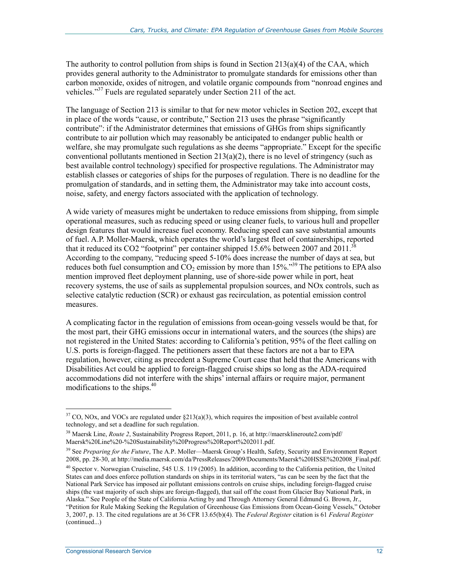The authority to control pollution from ships is found in Section  $213(a)(4)$  of the CAA, which provides general authority to the Administrator to promulgate standards for emissions other than carbon monoxide, oxides of nitrogen, and volatile organic compounds from "nonroad engines and vehicles."<sup>37</sup> Fuels are regulated separately under Section 211 of the act.

The language of Section 213 is similar to that for new motor vehicles in Section 202, except that in place of the words "cause, or contribute," Section 213 uses the phrase "significantly contribute": if the Administrator determines that emissions of GHGs from ships significantly contribute to air pollution which may reasonably be anticipated to endanger public health or welfare, she may promulgate such regulations as she deems "appropriate." Except for the specific conventional pollutants mentioned in Section  $213(a)(2)$ , there is no level of stringency (such as best available control technology) specified for prospective regulations. The Administrator may establish classes or categories of ships for the purposes of regulation. There is no deadline for the promulgation of standards, and in setting them, the Administrator may take into account costs, noise, safety, and energy factors associated with the application of technology.

A wide variety of measures might be undertaken to reduce emissions from shipping, from simple operational measures, such as reducing speed or using cleaner fuels, to various hull and propeller design features that would increase fuel economy. Reducing speed can save substantial amounts of fuel. A.P. Moller-Maersk, which operates the world's largest fleet of containerships, reported that it reduced its CO2 "footprint" per container shipped 15.6% between 2007 and 2011. According to the company, "reducing speed 5-10% does increase the number of days at sea, but reduces both fuel consumption and  $\overline{CO}_2$  emission by more than 15%."<sup>39</sup> The petitions to EPA also mention improved fleet deployment planning, use of shore-side power while in port, heat recovery systems, the use of sails as supplemental propulsion sources, and NOx controls, such as selective catalytic reduction (SCR) or exhaust gas recirculation, as potential emission control measures.

A complicating factor in the regulation of emissions from ocean-going vessels would be that, for the most part, their GHG emissions occur in international waters, and the sources (the ships) are not registered in the United States: according to California's petition, 95% of the fleet calling on U.S. ports is foreign-flagged. The petitioners assert that these factors are not a bar to EPA regulation, however, citing as precedent a Supreme Court case that held that the Americans with Disabilities Act could be applied to foreign-flagged cruise ships so long as the ADA-required accommodations did not interfere with the ships' internal affairs or require major, permanent modifications to the ships. $40$ 

<u>.</u>

 $37^3$  CO, NOx, and VOCs are regulated under  $\S213(a)(3)$ , which requires the imposition of best available control technology, and set a deadline for such regulation.

<sup>38</sup> Maersk Line, *Route 2*, Sustainability Progress Report, 2011, p. 16, at http://maersklineroute2.com/pdf/ Maersk%20Line%20-%20Sustainability%20Progress%20Report%202011.pdf.

<sup>&</sup>lt;sup>39</sup> See *Preparing for the Future*, The A.P. Moller—Maersk Group's Health, Safety, Security and Environment Report 2008, pp. 28-30, at http://media.maersk.com/da/PressReleases/2009/Documents/Maersk%20HSSE%202008\_Final.pdf.

 $40$  Spector v. Norwegian Cruiseline, 545 U.S. 119 (2005). In addition, according to the California petition, the United States can and does enforce pollution standards on ships in its territorial waters, "as can be seen by the fact that the National Park Service has imposed air pollutant emissions controls on cruise ships, including foreign-flagged cruise ships (the vast majority of such ships are foreign-flagged), that sail off the coast from Glacier Bay National Park, in Alaska." See People of the State of California Acting by and Through Attorney General Edmund G. Brown, Jr., "Petition for Rule Making Seeking the Regulation of Greenhouse Gas Emissions from Ocean-Going Vessels," October 3, 2007, p. 13. The cited regulations are at 36 CFR 13.65(b)(4). The *Federal Register* citation is 61 *Federal Register* (continued...)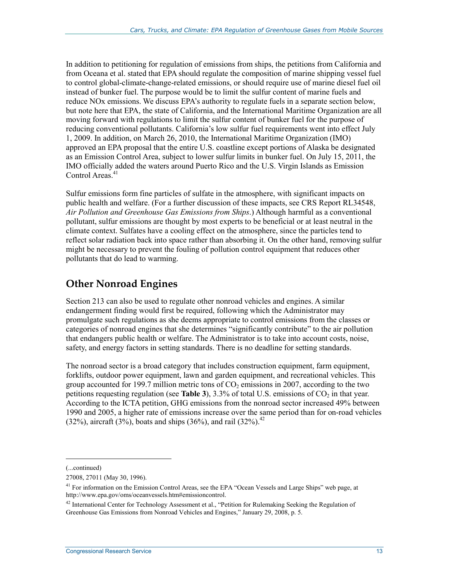In addition to petitioning for regulation of emissions from ships, the petitions from California and from Oceana et al. stated that EPA should regulate the composition of marine shipping vessel fuel to control global-climate-change-related emissions, or should require use of marine diesel fuel oil instead of bunker fuel. The purpose would be to limit the sulfur content of marine fuels and reduce NOx emissions. We discuss EPA's authority to regulate fuels in a separate section below, but note here that EPA, the state of California, and the International Maritime Organization are all moving forward with regulations to limit the sulfur content of bunker fuel for the purpose of reducing conventional pollutants. California's low sulfur fuel requirements went into effect July 1, 2009. In addition, on March 26, 2010, the International Maritime Organization (IMO) approved an EPA proposal that the entire U.S. coastline except portions of Alaska be designated as an Emission Control Area, subject to lower sulfur limits in bunker fuel. On July 15, 2011, the IMO officially added the waters around Puerto Rico and the U.S. Virgin Islands as Emission Control Areas.<sup>41</sup>

Sulfur emissions form fine particles of sulfate in the atmosphere, with significant impacts on public health and welfare. (For a further discussion of these impacts, see CRS Report RL34548, *Air Pollution and Greenhouse Gas Emissions from Ships*.) Although harmful as a conventional pollutant, sulfur emissions are thought by most experts to be beneficial or at least neutral in the climate context. Sulfates have a cooling effect on the atmosphere, since the particles tend to reflect solar radiation back into space rather than absorbing it. On the other hand, removing sulfur might be necessary to prevent the fouling of pollution control equipment that reduces other pollutants that do lead to warming.

### **Other Nonroad Engines**

Section 213 can also be used to regulate other nonroad vehicles and engines. A similar endangerment finding would first be required, following which the Administrator may promulgate such regulations as she deems appropriate to control emissions from the classes or categories of nonroad engines that she determines "significantly contribute" to the air pollution that endangers public health or welfare. The Administrator is to take into account costs, noise, safety, and energy factors in setting standards. There is no deadline for setting standards.

The nonroad sector is a broad category that includes construction equipment, farm equipment, forklifts, outdoor power equipment, lawn and garden equipment, and recreational vehicles. This group accounted for 199.7 million metric tons of  $CO<sub>2</sub>$  emissions in 2007, according to the two petitions requesting regulation (see **Table 3**),  $3.3\%$  of total U.S. emissions of  $CO<sub>2</sub>$  in that year. According to the ICTA petition, GHG emissions from the nonroad sector increased 49% between 1990 and 2005, a higher rate of emissions increase over the same period than for on-road vehicles (32%), aircraft (3%), boats and ships (36%), and rail (32%).<sup>42</sup>

 $\overline{a}$ 

<sup>(...</sup>continued)

<sup>27008, 27011 (</sup>May 30, 1996).

<sup>&</sup>lt;sup>41</sup> For information on the Emission Control Areas, see the EPA "Ocean Vessels and Large Ships" web page, at http://www.epa.gov/oms/oceanvessels.htm#emissioncontrol.

<sup>&</sup>lt;sup>42</sup> International Center for Technology Assessment et al., "Petition for Rulemaking Seeking the Regulation of Greenhouse Gas Emissions from Nonroad Vehicles and Engines," January 29, 2008, p. 5.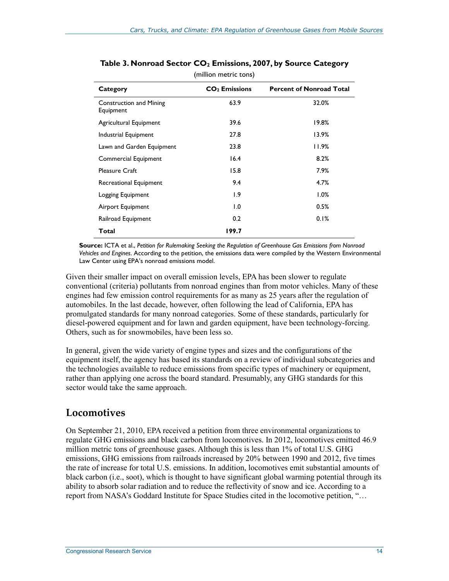| Category                                    | CO <sub>2</sub> Emissions | <b>Percent of Nonroad Total</b> |
|---------------------------------------------|---------------------------|---------------------------------|
| <b>Construction and Mining</b><br>Equipment | 63.9                      | 32.0%                           |
| Agricultural Equipment                      | 39.6                      | 19.8%                           |
| Industrial Equipment                        | 27.8                      | 13.9%                           |
| Lawn and Garden Equipment                   | 23.8                      | 11.9%                           |
| <b>Commercial Equipment</b>                 | 16.4                      | 8.2%                            |
| <b>Pleasure Craft</b>                       | 15.8                      | 7.9%                            |
| Recreational Equipment                      | 9.4                       | 4.7%                            |
| Logging Equipment                           | 1.9                       | $1.0\%$                         |
| Airport Equipment                           | 1.0                       | 0.5%                            |
| Railroad Equipment                          | 0.2                       | 0.1%                            |
| Total                                       | 199.7                     |                                 |
|                                             |                           |                                 |

#### Table 3. Nonroad Sector CO<sub>2</sub> Emissions, 2007, by Source Category (million metric tons)

**Source:** ICTA et al., *Petition for Rulemaking Seeking the Regulation of Greenhouse Gas Emissions from Nonroad Vehicles and Engines*. According to the petition, the emissions data were compiled by the Western Environmental Law Center using EPA's nonroad emissions model.

Given their smaller impact on overall emission levels, EPA has been slower to regulate conventional (criteria) pollutants from nonroad engines than from motor vehicles. Many of these engines had few emission control requirements for as many as 25 years after the regulation of automobiles. In the last decade, however, often following the lead of California, EPA has promulgated standards for many nonroad categories. Some of these standards, particularly for diesel-powered equipment and for lawn and garden equipment, have been technology-forcing. Others, such as for snowmobiles, have been less so.

In general, given the wide variety of engine types and sizes and the configurations of the equipment itself, the agency has based its standards on a review of individual subcategories and the technologies available to reduce emissions from specific types of machinery or equipment, rather than applying one across the board standard. Presumably, any GHG standards for this sector would take the same approach.

### **Locomotives**

On September 21, 2010, EPA received a petition from three environmental organizations to regulate GHG emissions and black carbon from locomotives. In 2012, locomotives emitted 46.9 million metric tons of greenhouse gases. Although this is less than 1% of total U.S. GHG emissions, GHG emissions from railroads increased by 20% between 1990 and 2012, five times the rate of increase for total U.S. emissions. In addition, locomotives emit substantial amounts of black carbon (i.e., soot), which is thought to have significant global warming potential through its ability to absorb solar radiation and to reduce the reflectivity of snow and ice. According to a report from NASA's Goddard Institute for Space Studies cited in the locomotive petition, "…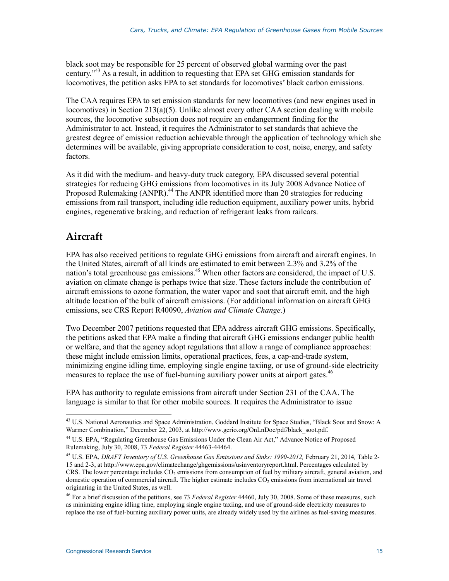black soot may be responsible for 25 percent of observed global warming over the past century."43 As a result, in addition to requesting that EPA set GHG emission standards for locomotives, the petition asks EPA to set standards for locomotives' black carbon emissions.

The CAA requires EPA to set emission standards for new locomotives (and new engines used in locomotives) in Section 213(a)(5). Unlike almost every other CAA section dealing with mobile sources, the locomotive subsection does not require an endangerment finding for the Administrator to act. Instead, it requires the Administrator to set standards that achieve the greatest degree of emission reduction achievable through the application of technology which she determines will be available, giving appropriate consideration to cost, noise, energy, and safety factors.

As it did with the medium- and heavy-duty truck category, EPA discussed several potential strategies for reducing GHG emissions from locomotives in its July 2008 Advance Notice of Proposed Rulemaking (ANPR).<sup>44</sup> The ANPR identified more than 20 strategies for reducing emissions from rail transport, including idle reduction equipment, auxiliary power units, hybrid engines, regenerative braking, and reduction of refrigerant leaks from railcars.

### **Aircraft**

1

EPA has also received petitions to regulate GHG emissions from aircraft and aircraft engines. In the United States, aircraft of all kinds are estimated to emit between 2.3% and 3.2% of the nation's total greenhouse gas emissions.<sup>45</sup> When other factors are considered, the impact of U.S. aviation on climate change is perhaps twice that size. These factors include the contribution of aircraft emissions to ozone formation, the water vapor and soot that aircraft emit, and the high altitude location of the bulk of aircraft emissions. (For additional information on aircraft GHG emissions, see CRS Report R40090, *Aviation and Climate Change*.)

Two December 2007 petitions requested that EPA address aircraft GHG emissions. Specifically, the petitions asked that EPA make a finding that aircraft GHG emissions endanger public health or welfare, and that the agency adopt regulations that allow a range of compliance approaches: these might include emission limits, operational practices, fees, a cap-and-trade system, minimizing engine idling time, employing single engine taxiing, or use of ground-side electricity measures to replace the use of fuel-burning auxiliary power units at airport gates.<sup>46</sup>

EPA has authority to regulate emissions from aircraft under Section 231 of the CAA. The language is similar to that for other mobile sources. It requires the Administrator to issue

<sup>&</sup>lt;sup>43</sup> U.S. National Aeronautics and Space Administration, Goddard Institute for Space Studies, "Black Soot and Snow: A Warmer Combination," December 22, 2003, at http://www.gcrio.org/OnLnDoc/pdf/black\_soot.pdf.

<sup>44</sup> U.S. EPA, "Regulating Greenhouse Gas Emissions Under the Clean Air Act," Advance Notice of Proposed Rulemaking, July 30, 2008, 73 *Federal Register* 44463-44464.

<sup>45</sup> U.S. EPA, *DRAFT Inventory of U.S. Greenhouse Gas Emissions and Sinks: 1990-2012,* February 21, 2014*,* Table 2- 15 and 2-3, at http://www.epa.gov/climatechange/ghgemissions/usinventoryreport.html. Percentages calculated by CRS. The lower percentage includes  $CO<sub>2</sub>$  emissions from consumption of fuel by military aircraft, general aviation, and domestic operation of commercial aircraft. The higher estimate includes  $CO<sub>2</sub>$  emissions from international air travel originating in the United States, as well.

<sup>46</sup> For a brief discussion of the petitions, see 73 *Federal Register* 44460, July 30, 2008. Some of these measures, such as minimizing engine idling time, employing single engine taxiing, and use of ground-side electricity measures to replace the use of fuel-burning auxiliary power units, are already widely used by the airlines as fuel-saving measures.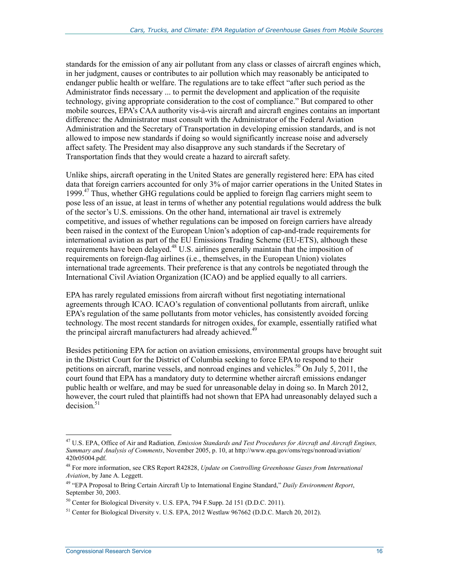standards for the emission of any air pollutant from any class or classes of aircraft engines which, in her judgment, causes or contributes to air pollution which may reasonably be anticipated to endanger public health or welfare. The regulations are to take effect "after such period as the Administrator finds necessary ... to permit the development and application of the requisite technology, giving appropriate consideration to the cost of compliance." But compared to other mobile sources, EPA's CAA authority vis-à-vis aircraft and aircraft engines contains an important difference: the Administrator must consult with the Administrator of the Federal Aviation Administration and the Secretary of Transportation in developing emission standards, and is not allowed to impose new standards if doing so would significantly increase noise and adversely affect safety. The President may also disapprove any such standards if the Secretary of Transportation finds that they would create a hazard to aircraft safety.

Unlike ships, aircraft operating in the United States are generally registered here: EPA has cited data that foreign carriers accounted for only 3% of major carrier operations in the United States in 1999.<sup>47</sup> Thus, whether GHG regulations could be applied to foreign flag carriers might seem to pose less of an issue, at least in terms of whether any potential regulations would address the bulk of the sector's U.S. emissions. On the other hand, international air travel is extremely competitive, and issues of whether regulations can be imposed on foreign carriers have already been raised in the context of the European Union's adoption of cap-and-trade requirements for international aviation as part of the EU Emissions Trading Scheme (EU-ETS), although these requirements have been delayed.<sup>48</sup> U.S. airlines generally maintain that the imposition of requirements on foreign-flag airlines (i.e., themselves, in the European Union) violates international trade agreements. Their preference is that any controls be negotiated through the International Civil Aviation Organization (ICAO) and be applied equally to all carriers.

EPA has rarely regulated emissions from aircraft without first negotiating international agreements through ICAO. ICAO's regulation of conventional pollutants from aircraft, unlike EPA's regulation of the same pollutants from motor vehicles, has consistently avoided forcing technology. The most recent standards for nitrogen oxides, for example, essentially ratified what the principal aircraft manufacturers had already achieved.<sup>4</sup>

Besides petitioning EPA for action on aviation emissions, environmental groups have brought suit in the District Court for the District of Columbia seeking to force EPA to respond to their petitions on aircraft, marine vessels, and nonroad engines and vehicles.<sup>50</sup> On July 5, 2011, the court found that EPA has a mandatory duty to determine whether aircraft emissions endanger public health or welfare, and may be sued for unreasonable delay in doing so. In March 2012, however, the court ruled that plaintiffs had not shown that EPA had unreasonably delayed such a  $decision.<sup>51</sup>$ 

<sup>47</sup> U.S. EPA, Office of Air and Radiation*, Emission Standards and Test Procedures for Aircraft and Aircraft Engines, Summary and Analysis of Comments*, November 2005, p. 10, at http://www.epa.gov/oms/regs/nonroad/aviation/ 420r05004.pdf.

<sup>48</sup> For more information, see CRS Report R42828, *Update on Controlling Greenhouse Gases from International Aviation*, by Jane A. Leggett.

<sup>49 &</sup>quot;EPA Proposal to Bring Certain Aircraft Up to International Engine Standard," *Daily Environment Report*, September 30, 2003.

<sup>50</sup> Center for Biological Diversity v. U.S. EPA, 794 F.Supp. 2d 151 (D.D.C. 2011).

<sup>&</sup>lt;sup>51</sup> Center for Biological Diversity v. U.S. EPA, 2012 Westlaw 967662 (D.D.C. March 20, 2012).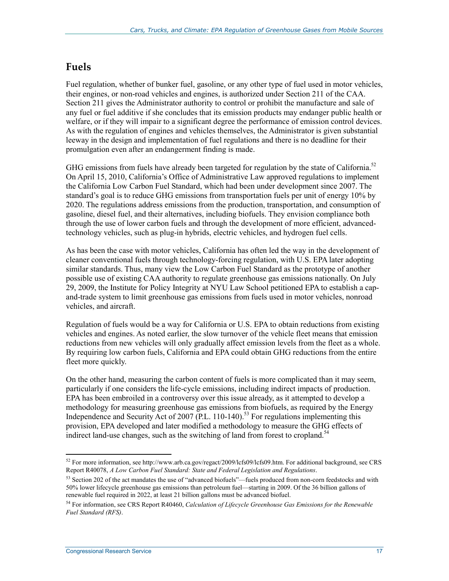#### **Fuels**

Fuel regulation, whether of bunker fuel, gasoline, or any other type of fuel used in motor vehicles, their engines, or non-road vehicles and engines, is authorized under Section 211 of the CAA. Section 211 gives the Administrator authority to control or prohibit the manufacture and sale of any fuel or fuel additive if she concludes that its emission products may endanger public health or welfare, or if they will impair to a significant degree the performance of emission control devices. As with the regulation of engines and vehicles themselves, the Administrator is given substantial leeway in the design and implementation of fuel regulations and there is no deadline for their promulgation even after an endangerment finding is made.

GHG emissions from fuels have already been targeted for regulation by the state of California.<sup>52</sup> On April 15, 2010, California's Office of Administrative Law approved regulations to implement the California Low Carbon Fuel Standard, which had been under development since 2007. The standard's goal is to reduce GHG emissions from transportation fuels per unit of energy 10% by 2020. The regulations address emissions from the production, transportation, and consumption of gasoline, diesel fuel, and their alternatives, including biofuels. They envision compliance both through the use of lower carbon fuels and through the development of more efficient, advancedtechnology vehicles, such as plug-in hybrids, electric vehicles, and hydrogen fuel cells.

As has been the case with motor vehicles, California has often led the way in the development of cleaner conventional fuels through technology-forcing regulation, with U.S. EPA later adopting similar standards. Thus, many view the Low Carbon Fuel Standard as the prototype of another possible use of existing CAA authority to regulate greenhouse gas emissions nationally. On July 29, 2009, the Institute for Policy Integrity at NYU Law School petitioned EPA to establish a capand-trade system to limit greenhouse gas emissions from fuels used in motor vehicles, nonroad vehicles, and aircraft.

Regulation of fuels would be a way for California or U.S. EPA to obtain reductions from existing vehicles and engines. As noted earlier, the slow turnover of the vehicle fleet means that emission reductions from new vehicles will only gradually affect emission levels from the fleet as a whole. By requiring low carbon fuels, California and EPA could obtain GHG reductions from the entire fleet more quickly.

On the other hand, measuring the carbon content of fuels is more complicated than it may seem, particularly if one considers the life-cycle emissions, including indirect impacts of production. EPA has been embroiled in a controversy over this issue already, as it attempted to develop a methodology for measuring greenhouse gas emissions from biofuels, as required by the Energy Independence and Security Act of 2007 (P.L. 110-140).<sup>53</sup> For regulations implementing this provision, EPA developed and later modified a methodology to measure the GHG effects of indirect land-use changes, such as the switching of land from forest to cropland.<sup>54</sup>

 $52$  For more information, see http://www.arb.ca.gov/regact/2009/lcfs09/lcfs09.htm. For additional background, see CRS Report R40078, *A Low Carbon Fuel Standard: State and Federal Legislation and Regulations*.

 $53$  Section 202 of the act mandates the use of "advanced biofuels"—fuels produced from non-corn feedstocks and with 50% lower lifecycle greenhouse gas emissions than petroleum fuel—starting in 2009. Of the 36 billion gallons of renewable fuel required in 2022, at least 21 billion gallons must be advanced biofuel.

<sup>54</sup> For information, see CRS Report R40460, *Calculation of Lifecycle Greenhouse Gas Emissions for the Renewable Fuel Standard (RFS)*.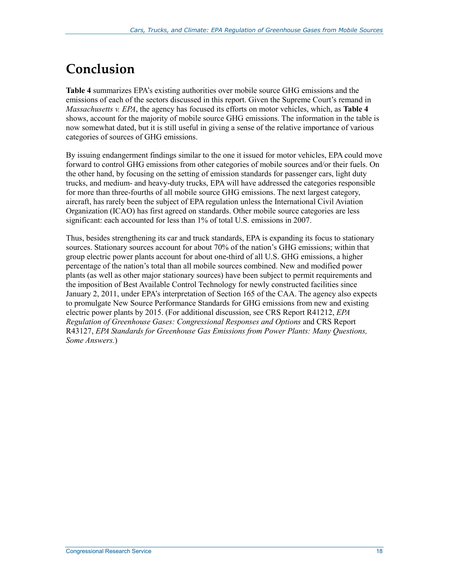## **Conclusion**

**Table 4** summarizes EPA's existing authorities over mobile source GHG emissions and the emissions of each of the sectors discussed in this report. Given the Supreme Court's remand in *Massachusetts v. EPA*, the agency has focused its efforts on motor vehicles, which, as **Table 4** shows, account for the majority of mobile source GHG emissions. The information in the table is now somewhat dated, but it is still useful in giving a sense of the relative importance of various categories of sources of GHG emissions.

By issuing endangerment findings similar to the one it issued for motor vehicles, EPA could move forward to control GHG emissions from other categories of mobile sources and/or their fuels. On the other hand, by focusing on the setting of emission standards for passenger cars, light duty trucks, and medium- and heavy-duty trucks, EPA will have addressed the categories responsible for more than three-fourths of all mobile source GHG emissions. The next largest category, aircraft, has rarely been the subject of EPA regulation unless the International Civil Aviation Organization (ICAO) has first agreed on standards. Other mobile source categories are less significant: each accounted for less than 1% of total U.S. emissions in 2007.

Thus, besides strengthening its car and truck standards, EPA is expanding its focus to stationary sources. Stationary sources account for about 70% of the nation's GHG emissions; within that group electric power plants account for about one-third of all U.S. GHG emissions, a higher percentage of the nation's total than all mobile sources combined. New and modified power plants (as well as other major stationary sources) have been subject to permit requirements and the imposition of Best Available Control Technology for newly constructed facilities since January 2, 2011, under EPA's interpretation of Section 165 of the CAA. The agency also expects to promulgate New Source Performance Standards for GHG emissions from new and existing electric power plants by 2015. (For additional discussion, see CRS Report R41212, *EPA Regulation of Greenhouse Gases: Congressional Responses and Options* and CRS Report R43127, *EPA Standards for Greenhouse Gas Emissions from Power Plants: Many Questions, Some Answers.*)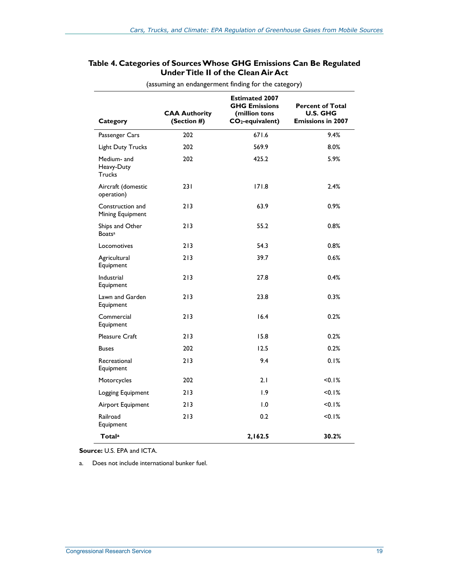#### **Table 4. Categories of Sources Whose GHG Emissions Can Be Regulated Under Title II of the Clean Air Act**

| Category                                     | <b>CAA Authority</b><br>(Section #) | <b>Estimated 2007</b><br><b>GHG Emissions</b><br>(million tons<br>CO <sub>2</sub> -equivalent) | <b>Percent of Total</b><br><b>U.S. GHG</b><br><b>Emissions in 2007</b> |
|----------------------------------------------|-------------------------------------|------------------------------------------------------------------------------------------------|------------------------------------------------------------------------|
| Passenger Cars                               | 202                                 | 671.6                                                                                          | 9.4%                                                                   |
| <b>Light Duty Trucks</b>                     | 202                                 | 569.9                                                                                          | 8.0%                                                                   |
| Medium- and<br>Heavy-Duty<br><b>Trucks</b>   | 202                                 | 425.2                                                                                          | 5.9%                                                                   |
| Aircraft (domestic<br>operation)             | 231                                 | 171.8                                                                                          | 2.4%                                                                   |
| Construction and<br>Mining Equipment         | 213                                 | 63.9                                                                                           | 0.9%                                                                   |
| Ships and Other<br><b>Boats</b> <sup>a</sup> | 213                                 | 55.2                                                                                           | 0.8%                                                                   |
| Locomotives                                  | 213                                 | 54.3                                                                                           | 0.8%                                                                   |
| Agricultural<br>Equipment                    | 213                                 | 39.7                                                                                           | 0.6%                                                                   |
| Industrial<br>Equipment                      | 213                                 | 27.8                                                                                           | 0.4%                                                                   |
| Lawn and Garden<br>Equipment                 | 213                                 | 23.8                                                                                           | 0.3%                                                                   |
| Commercial<br>Equipment                      | 213                                 | 16.4                                                                                           | 0.2%                                                                   |
| Pleasure Craft                               | 213                                 | 15.8                                                                                           | 0.2%                                                                   |
| <b>Buses</b>                                 | 202                                 | 12.5                                                                                           | 0.2%                                                                   |
| Recreational<br>Equipment                    | 213                                 | 9.4                                                                                            | 0.1%                                                                   |
| Motorcycles                                  | 202                                 | 2.1                                                                                            | < 0.1%                                                                 |
| Logging Equipment                            | 213                                 | 1.9                                                                                            | < 0.1%                                                                 |
| Airport Equipment                            | 213                                 | 1.0                                                                                            | < 0.1%                                                                 |
| Railroad<br>Equipment                        | 213                                 | 0.2                                                                                            | $< 0.1\%$                                                              |
| <b>Totala</b>                                |                                     | 2,162.5                                                                                        | 30.2%                                                                  |

(assuming an endangerment finding for the category)

**Source:** U.S. EPA and ICTA.

a. Does not include international bunker fuel.